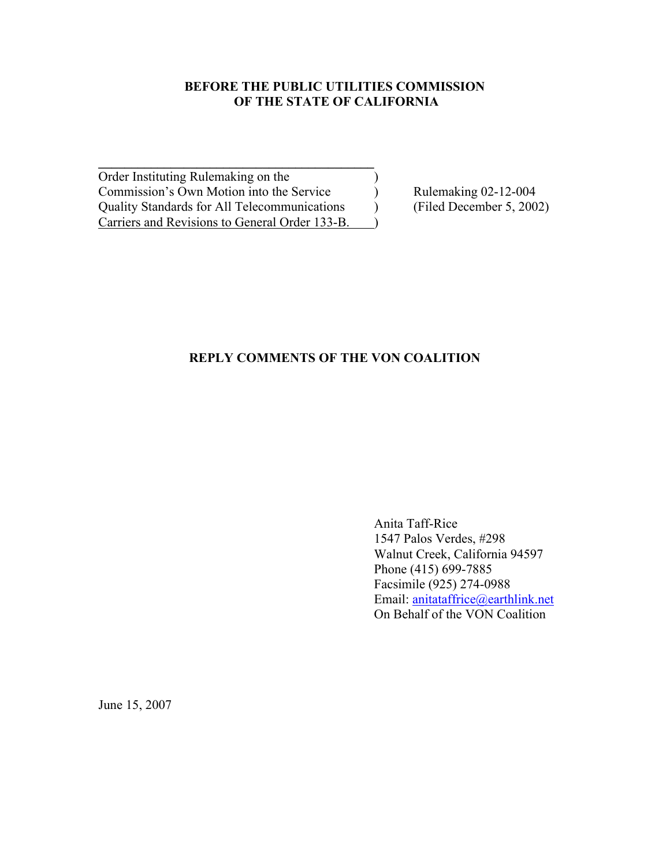#### **BEFORE THE PUBLIC UTILITIES COMMISSION OF THE STATE OF CALIFORNIA**

Order Instituting Rulemaking on the () Commission's Own Motion into the Service<br>
Quality Standards for All Telecommunications
(Filed December 5, 2002) Quality Standards for All Telecommunications (Fig. 2002) Carriers and Revisions to General Order 133-B.

**\_\_\_\_\_\_\_\_\_\_\_\_\_\_\_\_\_\_\_\_\_\_\_\_\_\_\_\_\_\_\_\_\_\_\_\_\_\_\_\_\_\_**

### **REPLY COMMENTS OF THE VON COALITION**

Anita Taff-Rice 1547 Palos Verdes, #298 Walnut Creek, California 94597 Phone (415) 699-7885 Facsimile (925) 274-0988 Email: anitataffrice@earthlink.net On Behalf of the VON Coalition

June 15, 2007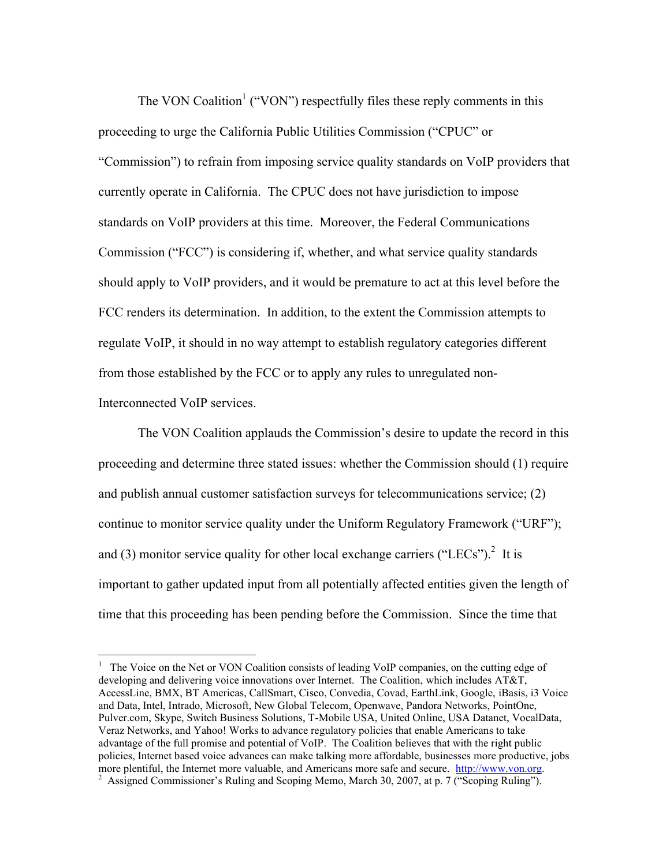The VON Coalition<sup>1</sup> ("VON") respectfully files these reply comments in this proceeding to urge the California Public Utilities Commission ("CPUC" or "Commission") to refrain from imposing service quality standards on VoIP providers that currently operate in California. The CPUC does not have jurisdiction to impose standards on VoIP providers at this time. Moreover, the Federal Communications Commission ("FCC") is considering if, whether, and what service quality standards should apply to VoIP providers, and it would be premature to act at this level before the FCC renders its determination. In addition, to the extent the Commission attempts to regulate VoIP, it should in no way attempt to establish regulatory categories different from those established by the FCC or to apply any rules to unregulated non-Interconnected VoIP services.

The VON Coalition applauds the Commission's desire to update the record in this proceeding and determine three stated issues: whether the Commission should (1) require and publish annual customer satisfaction surveys for telecommunications service; (2) continue to monitor service quality under the Uniform Regulatory Framework ("URF"); and (3) monitor service quality for other local exchange carriers ("LECs").<sup>2</sup> It is important to gather updated input from all potentially affected entities given the length of time that this proceeding has been pending before the Commission. Since the time that

 $\overline{a}$ 

<sup>&</sup>lt;sup>1</sup> The Voice on the Net or VON Coalition consists of leading VoIP companies, on the cutting edge of developing and delivering voice innovations over Internet. The Coalition, which includes AT&T, AccessLine, BMX, BT Americas, CallSmart, Cisco, Convedia, Covad, EarthLink, Google, iBasis, i3 Voice and Data, Intel, Intrado, Microsoft, New Global Telecom, Openwave, Pandora Networks, PointOne, Pulver.com, Skype, Switch Business Solutions, T-Mobile USA, United Online, USA Datanet, VocalData, Veraz Networks, and Yahoo! Works to advance regulatory policies that enable Americans to take advantage of the full promise and potential of VoIP. The Coalition believes that with the right public policies, Internet based voice advances can make talking more affordable, businesses more productive, jobs more plentiful, the Internet more valuable, and Americans more safe and secure. http://www.von.org.

<sup>&</sup>lt;sup>2</sup> Assigned Commissioner's Ruling and Scoping Memo, March 30, 2007, at p. 7 ("Scoping Ruling").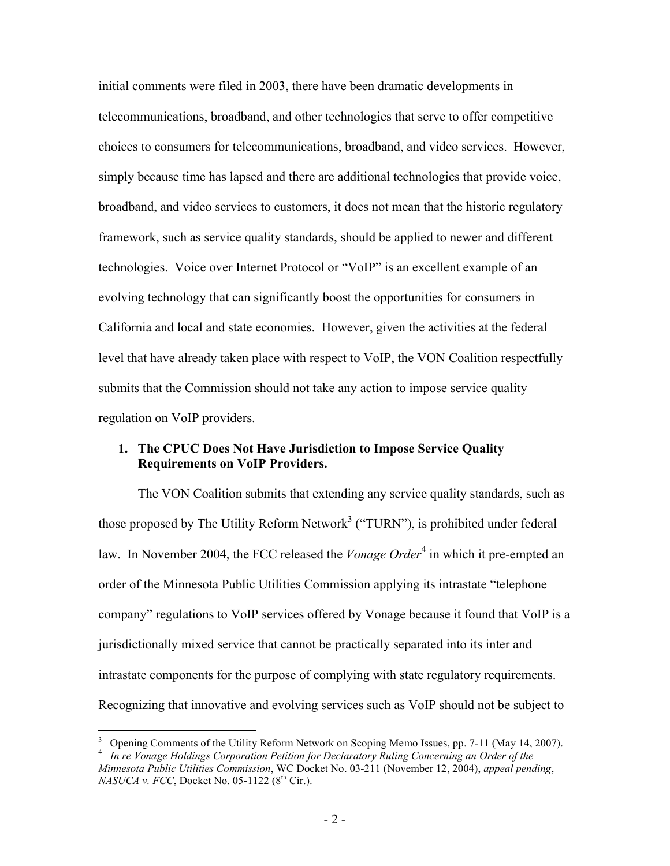initial comments were filed in 2003, there have been dramatic developments in telecommunications, broadband, and other technologies that serve to offer competitive choices to consumers for telecommunications, broadband, and video services. However, simply because time has lapsed and there are additional technologies that provide voice, broadband, and video services to customers, it does not mean that the historic regulatory framework, such as service quality standards, should be applied to newer and different technologies. Voice over Internet Protocol or "VoIP" is an excellent example of an evolving technology that can significantly boost the opportunities for consumers in California and local and state economies. However, given the activities at the federal level that have already taken place with respect to VoIP, the VON Coalition respectfully submits that the Commission should not take any action to impose service quality regulation on VoIP providers.

#### **1. The CPUC Does Not Have Jurisdiction to Impose Service Quality Requirements on VoIP Providers.**

The VON Coalition submits that extending any service quality standards, such as those proposed by The Utility Reform Network<sup>3</sup> ("TURN"), is prohibited under federal law. In November 2004, the FCC released the *Vonage Order*<sup>4</sup> in which it pre-empted an order of the Minnesota Public Utilities Commission applying its intrastate "telephone company" regulations to VoIP services offered by Vonage because it found that VoIP is a jurisdictionally mixed service that cannot be practically separated into its inter and intrastate components for the purpose of complying with state regulatory requirements. Recognizing that innovative and evolving services such as VoIP should not be subject to

1

<sup>&</sup>lt;sup>3</sup> Opening Comments of the Utility Reform Network on Scoping Memo Issues, pp. 7-11 (May 14, 2007).

<sup>4</sup> *In re Vonage Holdings Corporation Petition for Declaratory Ruling Concerning an Order of the Minnesota Public Utilities Commission*, WC Docket No. 03-211 (November 12, 2004), *appeal pending*, *NASUCA v. FCC*, Docket No. 05-1122 (8<sup>th</sup> Cir.).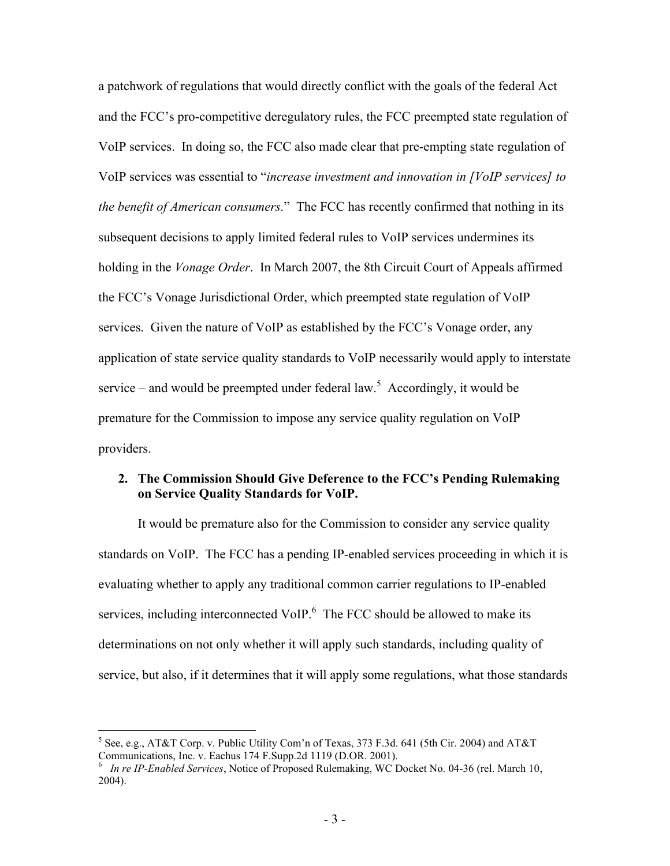a patchwork of regulations that would directly conflict with the goals of the federal Act and the FCC's pro-competitive deregulatory rules, the FCC preempted state regulation of VoIP services. In doing so, the FCC also made clear that pre-empting state regulation of VoIP services was essential to "*increase investment and innovation in [VoIP services] to the benefit of American consumers.*" The FCC has recently confirmed that nothing in its subsequent decisions to apply limited federal rules to VoIP services undermines its holding in the *Vonage Order*. In March 2007, the 8th Circuit Court of Appeals affirmed the FCC's Vonage Jurisdictional Order, which preempted state regulation of VoIP services. Given the nature of VoIP as established by the FCC's Vonage order, any application of state service quality standards to VoIP necessarily would apply to interstate service – and would be preempted under federal law.<sup>5</sup> Accordingly, it would be premature for the Commission to impose any service quality regulation on VoIP providers.

#### **2. The Commission Should Give Deference to the FCC's Pending Rulemaking on Service Quality Standards for VoIP.**

It would be premature also for the Commission to consider any service quality standards on VoIP. The FCC has a pending IP-enabled services proceeding in which it is evaluating whether to apply any traditional common carrier regulations to IP-enabled services, including interconnected VoIP. $6$  The FCC should be allowed to make its determinations on not only whether it will apply such standards, including quality of service, but also, if it determines that it will apply some regulations, what those standards

1

 $5$  See, e.g., AT&T Corp. v. Public Utility Com'n of Texas, 373 F.3d. 641 (5th Cir. 2004) and AT&T Communications, Inc. v. Eachus 174 F.Supp.2d 1119 (D.OR. 2001).

<sup>6</sup> *In re IP-Enabled Services*, Notice of Proposed Rulemaking, WC Docket No. 04-36 (rel. March 10, 2004).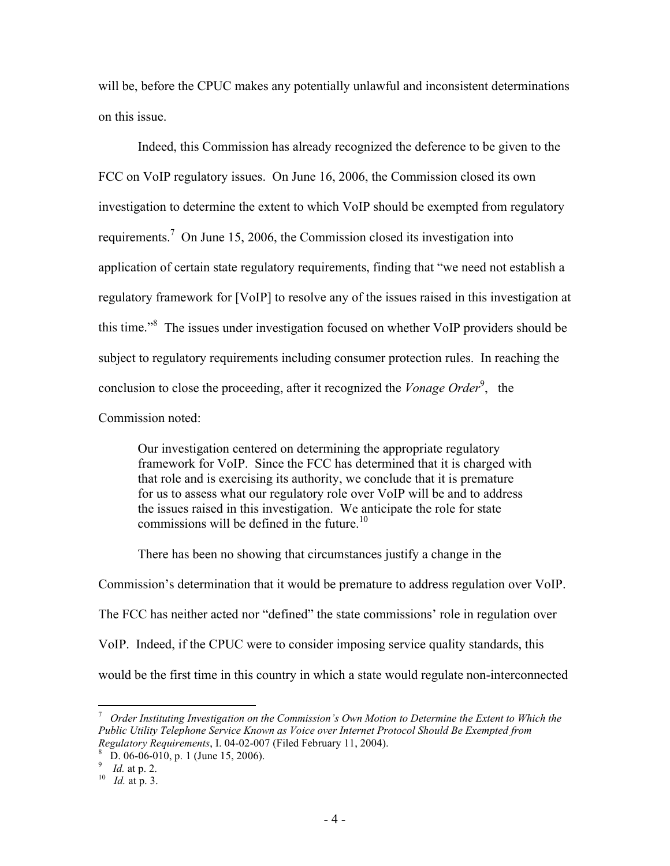will be, before the CPUC makes any potentially unlawful and inconsistent determinations on this issue.

Indeed, this Commission has already recognized the deference to be given to the FCC on VoIP regulatory issues. On June 16, 2006, the Commission closed its own investigation to determine the extent to which VoIP should be exempted from regulatory requirements.<sup>7</sup> On June 15, 2006, the Commission closed its investigation into application of certain state regulatory requirements, finding that "we need not establish a regulatory framework for [VoIP] to resolve any of the issues raised in this investigation at this time.<sup>8</sup> The issues under investigation focused on whether VoIP providers should be subject to regulatory requirements including consumer protection rules. In reaching the conclusion to close the proceeding, after it recognized the *Vonage Order*<sup>9</sup>, the

Commission noted:

Our investigation centered on determining the appropriate regulatory framework for VoIP. Since the FCC has determined that it is charged with that role and is exercising its authority, we conclude that it is premature for us to assess what our regulatory role over VoIP will be and to address the issues raised in this investigation. We anticipate the role for state commissions will be defined in the future.<sup>10</sup>

There has been no showing that circumstances justify a change in the

Commission's determination that it would be premature to address regulation over VoIP. The FCC has neither acted nor "defined" the state commissions' role in regulation over VoIP. Indeed, if the CPUC were to consider imposing service quality standards, this would be the first time in this country in which a state would regulate non-interconnected

 $\overline{a}$ 

<sup>&</sup>lt;sup>7</sup> Order Instituting Investigation on the Commission's Own Motion to Determine the Extent to Which the *Public Utility Telephone Service Known as Voice over Internet Protocol Should Be Exempted from Regulatory Requirements*, I. 04-02-007 (Filed February 11, 2004).

D. 06-06-010, p. 1 (June 15, 2006).

<sup>&</sup>lt;sup>9</sup> Id. at p. 2.

*I*<sup>0</sup>*Id.* at p. 3.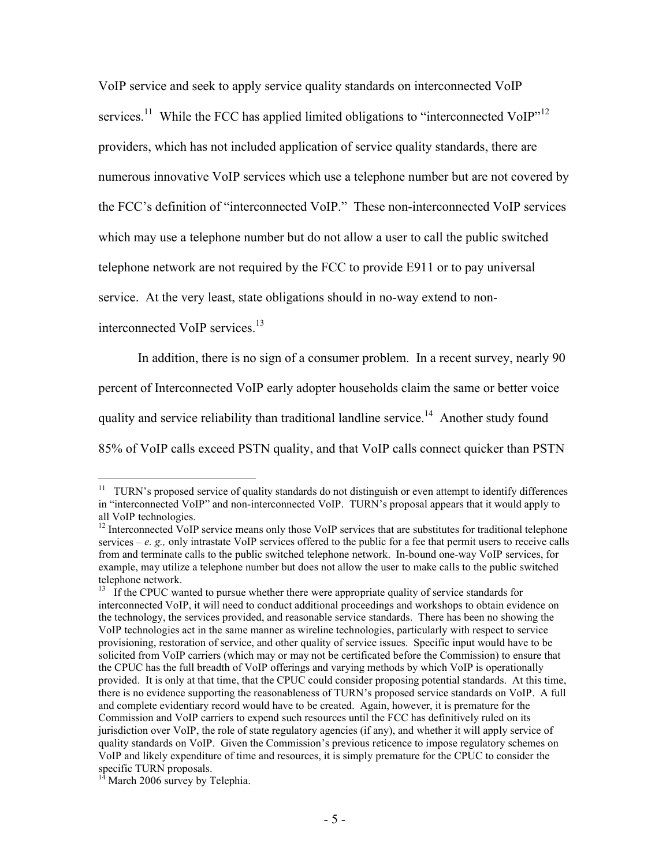VoIP service and seek to apply service quality standards on interconnected VoIP services.<sup>11</sup> While the FCC has applied limited obligations to "interconnected VoIP"<sup>12</sup> providers, which has not included application of service quality standards, there are numerous innovative VoIP services which use a telephone number but are not covered by the FCC's definition of "interconnected VoIP." These non-interconnected VoIP services which may use a telephone number but do not allow a user to call the public switched telephone network are not required by the FCC to provide E911 or to pay universal service. At the very least, state obligations should in no-way extend to non-

interconnected VoIP services.<sup>13</sup>

 $\overline{a}$ 

In addition, there is no sign of a consumer problem. In a recent survey, nearly 90 percent of Interconnected VoIP early adopter households claim the same or better voice quality and service reliability than traditional landline service.<sup>14</sup> Another study found 85% of VoIP calls exceed PSTN quality, and that VoIP calls connect quicker than PSTN

 $11$  TURN's proposed service of quality standards do not distinguish or even attempt to identify differences in "interconnected VoIP" and non-interconnected VoIP. TURN's proposal appears that it would apply to all VoIP technologies.

 $12$  Interconnected VoIP service means only those VoIP services that are substitutes for traditional telephone services –  $e$ .  $g<sub>z</sub>$ , only intrastate VoIP services offered to the public for a fee that permit users to receive calls from and terminate calls to the public switched telephone network. In-bound one-way VoIP services, for example, may utilize a telephone number but does not allow the user to make calls to the public switched telephone network.

<sup>&</sup>lt;sup>13</sup> If the CPUC wanted to pursue whether there were appropriate quality of service standards for interconnected VoIP, it will need to conduct additional proceedings and workshops to obtain evidence on the technology, the services provided, and reasonable service standards. There has been no showing the VoIP technologies act in the same manner as wireline technologies, particularly with respect to service provisioning, restoration of service, and other quality of service issues. Specific input would have to be solicited from VoIP carriers (which may or may not be certificated before the Commission) to ensure that the CPUC has the full breadth of VoIP offerings and varying methods by which VoIP is operationally provided. It is only at that time, that the CPUC could consider proposing potential standards. At this time, there is no evidence supporting the reasonableness of TURN's proposed service standards on VoIP. A full and complete evidentiary record would have to be created. Again, however, it is premature for the Commission and VoIP carriers to expend such resources until the FCC has definitively ruled on its jurisdiction over VoIP, the role of state regulatory agencies (if any), and whether it will apply service of quality standards on VoIP. Given the Commission's previous reticence to impose regulatory schemes on VoIP and likely expenditure of time and resources, it is simply premature for the CPUC to consider the specific TURN proposals.

 $14$  March 2006 survey by Telephia.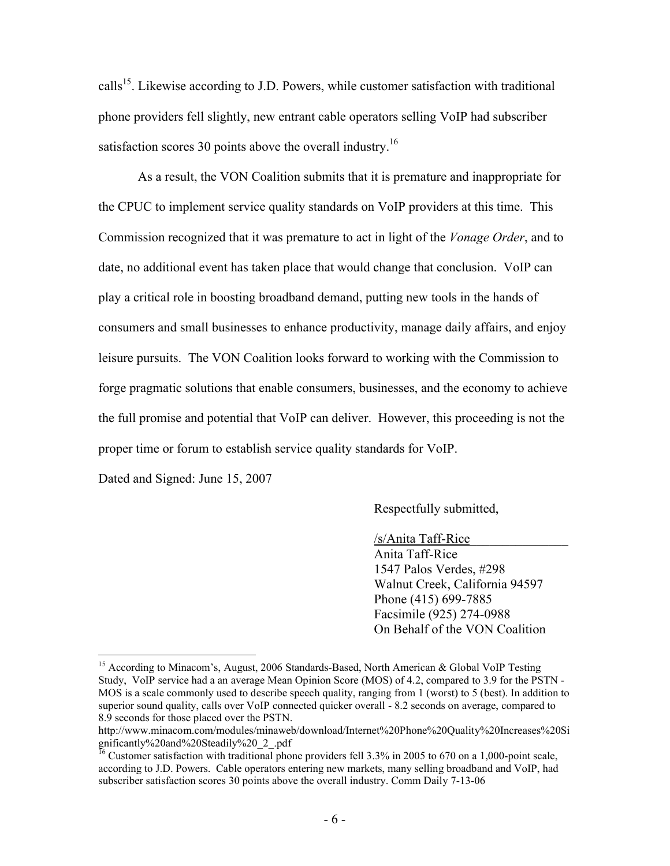calls<sup>15</sup>. Likewise according to J.D. Powers, while customer satisfaction with traditional phone providers fell slightly, new entrant cable operators selling VoIP had subscriber satisfaction scores 30 points above the overall industry.<sup>16</sup>

As a result, the VON Coalition submits that it is premature and inappropriate for the CPUC to implement service quality standards on VoIP providers at this time. This Commission recognized that it was premature to act in light of the *Vonage Order*, and to date, no additional event has taken place that would change that conclusion. VoIP can play a critical role in boosting broadband demand, putting new tools in the hands of consumers and small businesses to enhance productivity, manage daily affairs, and enjoy leisure pursuits. The VON Coalition looks forward to working with the Commission to forge pragmatic solutions that enable consumers, businesses, and the economy to achieve the full promise and potential that VoIP can deliver. However, this proceeding is not the proper time or forum to establish service quality standards for VoIP.

Dated and Signed: June 15, 2007

1

Respectfully submitted,

/s/Anita Taff-Rice\_\_\_\_\_\_\_\_\_\_\_\_\_\_\_ Anita Taff-Rice 1547 Palos Verdes, #298 Walnut Creek, California 94597 Phone (415) 699-7885 Facsimile (925) 274-0988 On Behalf of the VON Coalition

<sup>&</sup>lt;sup>15</sup> According to Minacom's, August, 2006 Standards-Based, North American & Global VoIP Testing Study, VoIP service had a an average Mean Opinion Score (MOS) of 4.2, compared to 3.9 for the PSTN - MOS is a scale commonly used to describe speech quality, ranging from 1 (worst) to 5 (best). In addition to superior sound quality, calls over VoIP connected quicker overall - 8.2 seconds on average, compared to 8.9 seconds for those placed over the PSTN.

http://www.minacom.com/modules/minaweb/download/Internet%20Phone%20Quality%20Increases%20Si gnificantly%20and%20Steadily%20\_2\_.pdf

<sup>&</sup>lt;sup>16</sup> Customer satisfaction with traditional phone providers fell 3.3% in 2005 to 670 on a 1,000-point scale, according to J.D. Powers. Cable operators entering new markets, many selling broadband and VoIP, had subscriber satisfaction scores 30 points above the overall industry. Comm Daily 7-13-06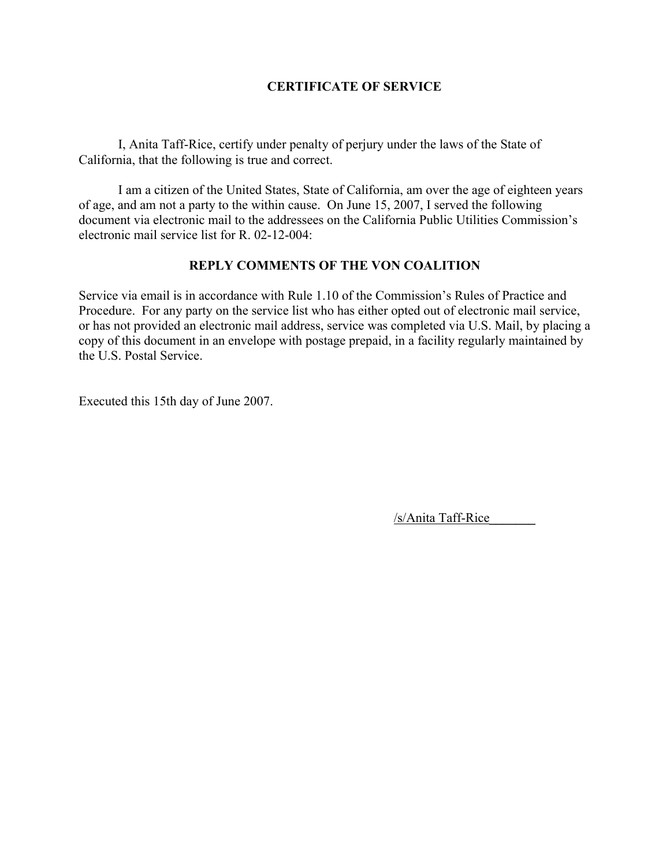#### **CERTIFICATE OF SERVICE**

I, Anita Taff-Rice, certify under penalty of perjury under the laws of the State of California, that the following is true and correct.

I am a citizen of the United States, State of California, am over the age of eighteen years of age, and am not a party to the within cause. On June 15, 2007, I served the following document via electronic mail to the addressees on the California Public Utilities Commission's electronic mail service list for R. 02-12-004:

#### **REPLY COMMENTS OF THE VON COALITION**

Service via email is in accordance with Rule 1.10 of the Commission's Rules of Practice and Procedure. For any party on the service list who has either opted out of electronic mail service, or has not provided an electronic mail address, service was completed via U.S. Mail, by placing a copy of this document in an envelope with postage prepaid, in a facility regularly maintained by the U.S. Postal Service.

Executed this 15th day of June 2007.

/s/Anita Taff-Rice**\_\_\_\_\_\_\_**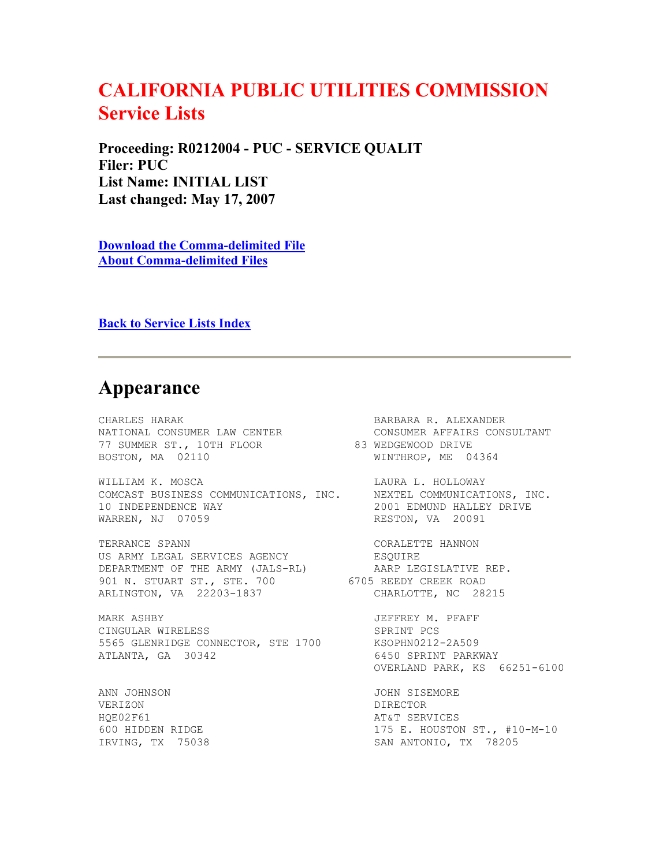# **CALIFORNIA PUBLIC UTILITIES COMMISSION Service Lists**

**Proceeding: R0212004 - PUC - SERVICE QUALIT Filer: PUC List Name: INITIAL LIST Last changed: May 17, 2007** 

**Download the Comma-delimited File About Comma-delimited Files** 

**Back to Service Lists Index** 

### **Appearance**

CHARLES HARAK BARBARA R. ALEXANDER<br>
NATIONAL CONSUMER LAW CENTER CONSUMER AFFAIRS CON<br>
77 SUMMER ST., 10TH FLOOR 83 WEDGEWOOD DRIVE 77 SUMMER ST., 10TH FLOOR 83 WEDGEWOOD DRIVE BOSTON, MA 02110 WINTHROP, ME 04364

WILLIAM K. MOSCA<br>
COMCAST BUSINESS COMMUNICATIONS, INC. MEXTEL COMMUNICATIONS, INC. COMCAST BUSINESS COMMUNICATIONS, INC. 10 INDEPENDENCE WAY 10 2001 EDMUND HALLEY DRIVE WARREN, NJ 07059

TERRANCE SPANN CORALETTE HANNON US ARMY LEGAL SERVICES AGENCY FROM ESQUIRE DEPARTMENT OF THE ARMY (JALS-RL) AARP LEGISLATIVE REP. 901 N. STUART ST., STE. 700 6705 REEDY CREEK ROAD ARLINGTON, VA 22203-1837 CHARLOTTE, NC 28215

MARK ASHBY JEFFREY M. PFAFF CINGULAR WIRELESS SPRINT PCS 5565 GLENRIDGE CONNECTOR, STE 1700 KSOPHN0212-2A509 ATLANTA, GA 30342 6450 SPRINT PARKWAY

VERIZON DIRECTOR HQE02F61 AT&T SERVICES

NATIONAL CONSUMER LAW CENTER CONSUMER AFFAIRS CONSULTANT RESTON, VA 20091 OVERLAND PARK, KS 66251-6100 ANN JOHNSON JOHN SISEMORE 600 HIDDEN RIDGE 175 E. HOUSTON ST., #10-M-10 IRVING, TX 75038 SAN ANTONIO, TX 78205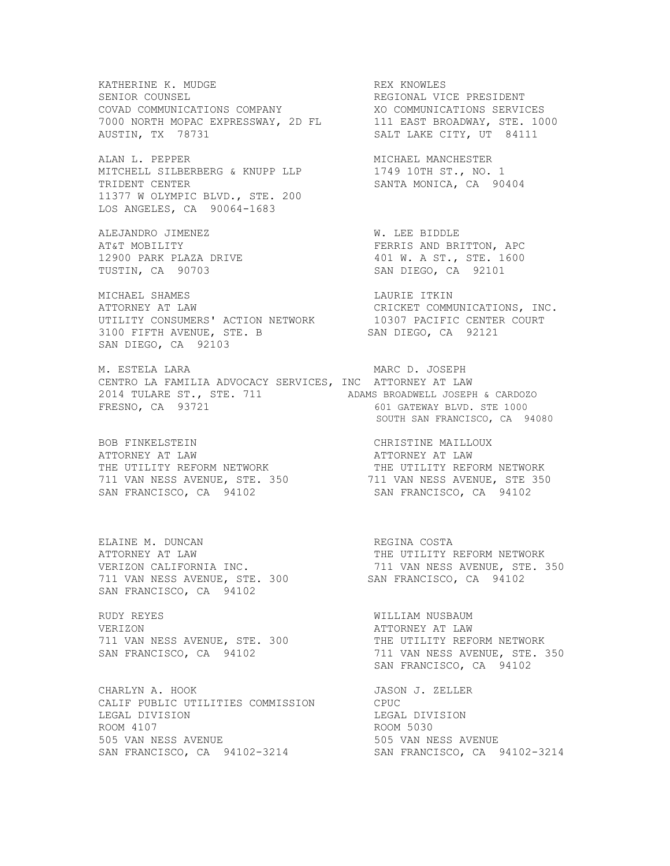KATHERINE K. MUDGE THE REX KNOWLES SENIOR COUNSEL THE RESONAL VICE PRESIDENT SENIOR COUNSEL **REGIONAL VICE PRESIDENT** COVAD COMMUNICATIONS COMPANY XO COMMUNICATIONS SERVICES 7000 NORTH MOPAC EXPRESSWAY, 2D FL 111 EAST BROADWAY, STE. 1000 AUSTIN, TX 78731 SALT LAKE CITY, UT 84111

ALAN L. PEPPER MICHAEL MANCHESTER MITCHELL SILBERBERG & KNUPP LLP 1749 10TH ST., NO. 1 TRIDENT CENTER SANTA MONICA, CA 90404 11377 W OLYMPIC BLVD., STE. 200 LOS ANGELES, CA 90064-1683

ALEJANDRO JIMENEZ W. LEE BIDDLE 12900 PARK PLAZA DRIVE 12900 PARK PLAZA DRIVE 401 W. A ST., STE. 1600 PARK PLAZA DRIVE TUSTIN, CA 90703

MICHAEL SHAMES LAURIE ITKIN ATTORNEY AT LAW CRICKET COMMUNICATIONS, INC. UTILITY CONSUMERS' ACTION NETWORK 10307 PACIFIC CENTER COURT 3100 FIFTH AVENUE, STE. B SAN DIEGO, CA 92121 SAN DIEGO, CA 92103

M. ESTELA LARA MARC D. JOSEPH CENTRO LA FAMILIA ADVOCACY SERVICES, INC ATTORNEY AT LAW 2014 TULARE ST., STE. 711 ADAMS BROADWELL JOSEPH & CARDOZO FRESNO, CA 93721 601 GATEWAY BLVD. STE 1000

BOB FINKELSTEIN CHRISTINE MAILLOUX ATTORNEY AT LAW ATTORNEY AT LAW THE UTILITY REFORM NETWORK THE UTILITY REFORM NETWORK 711 VAN NESS AVENUE, STE. 350 711 VAN NESS AVENUE, STE 350 SAN FRANCISCO, CA 94102 SAN FRANCISCO, CA 94102

ELAINE M. DUNCAN **REGINA COSTA** ATTORNEY AT LAW THE UTILITY REFORM NETWORK 711 VAN NESS AVENUE, STE. 300 SAN FRANCISCO, CA 94102 SAN FRANCISCO, CA 94102

RUDY REYES WILLIAM NUSBAUM VERIZON GEREE AT LAW AND A SERVICE A SERVICE A SERVICE AND ATTORNEY AT LAW 711 VAN NESS AVENUE, STE. 300 THE UTILITY REFORM NETWORK

CHARLYN A. HOOK SALEMAN JASON J. ZELLER CALIF PUBLIC UTILITIES COMMISSION CPUC<br>LEGAL DIVISION LEGAI ROOM 4107<br>
505 VAN NESS AVENUE<br>
505 VAN NESS AVENUE<br>
505 VAN NESS AVENUE 505 VAN NESS AVENUE 505 VAN NESS AVENUE SAN FRANCISCO, CA 94102-3214 SAN FRANCISCO, CA 94102-3214

AT&T MOBILITY<br>12900 PARK PLAZA DRIVE THE RESERT SAND BRITTON, APC

SOUTH SAN FRANCISCO, CA 94080

VERIZON CALIFORNIA INC. 711 VAN NESS AVENUE, STE. 350

SAN FRANCISCO, CA 94102 711 VAN NESS AVENUE, STE. 350 SAN FRANCISCO, CA 94102

LEGAL DIVISION<br>ROOM 5030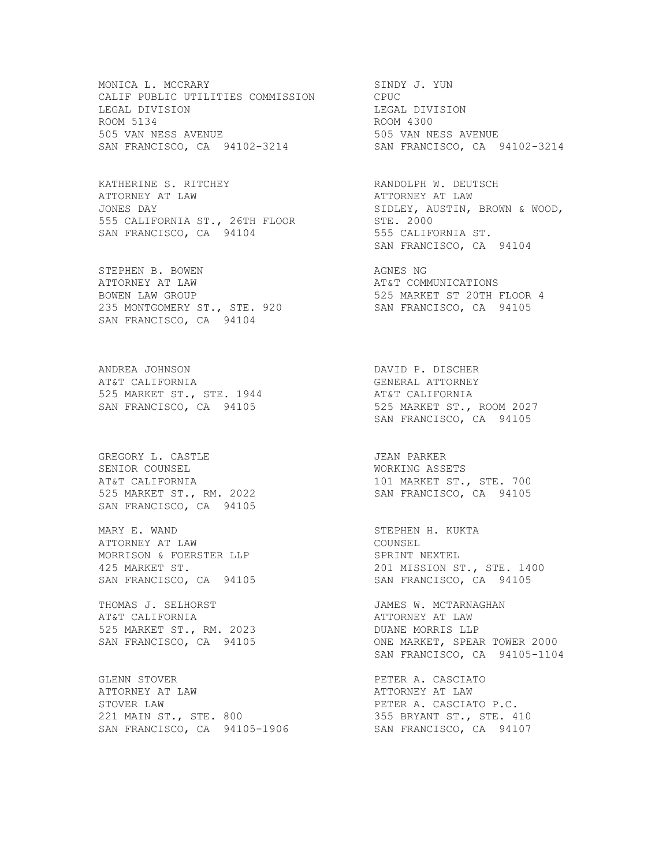MONICA L. MCCRARY SINDY J. YUN CALIF PUBLIC UTILITIES COMMISSION CPUC LEGAL DIVISION LEGAL DIVISION ROOM 5134 ROOM 4300 505 VAN NESS AVENUE 505 VAN NESS AVENUE SAN FRANCISCO, CA 94102-3214 SAN FRANCISCO, CA 94102-3214

KATHERINE S. RITCHEY RANDOLPH W. DEUTSCH ATTORNEY AT LAW ATTORNEY AT LAW JONES DAY SIDLEY, AUSTIN, BROWN & WOOD, 555 CALIFORNIA ST., 26TH FLOOR STE. 2000 SAN FRANCISCO, CA 94104 555 CALIFORNIA ST.

STEPHEN B. BOWEN AGNES NG ATTORNEY AT LAW AT&T COMMUNICATIONS 235 MONTGOMERY ST., STE. 920 SAN FRANCISCO, CA 94104

ANDREA JOHNSON DAVID P. DISCHER AT&T CALIFORNIA GENERAL ATTORNEY 525 MARKET ST., STE. 1944 **AT&T CALIFORNIA** 

GREGORY L. CASTLE JEAN PARKER SENIOR COUNSEL WORKING ASSETS SAN FRANCISCO, CA 94105

MARY E. WAND STEPHEN H. KUKTA ATTORNEY AT LAW COUNSEL MORRISON & FOERSTER LLP

THOMAS J. SELHORST **JAMES W. MCTARNAGHAN** AT&T CALIFORNIA ATTORNEY AT LAW 525 MARKET ST., RM. 2023 DUANE MORRIS LLP

GLENN STOVER PETER A. CASCIATO ATTORNEY AT LAW ATTORNEY AT LAW STOVER LAW **PETER A. CASCIATO P.C.** 221 MAIN ST., STE. 800 355 BRYANT ST., STE. 410 SAN FRANCISCO, CA 94105-1906 SAN FRANCISCO, CA 94107

SAN FRANCISCO, CA 94104

525 MARKET ST 20TH FLOOR 4<br>SAN FRANCISCO, CA 94105

SAN FRANCISCO, CA 94105 525 MARKET ST., ROOM 2027 SAN FRANCISCO, CA 94105

AT&T CALIFORNIA 101 MARKET ST., STE. 700 525 MARKET ST., RM. 2022 SAN FRANCISCO, CA 94105

425 MARKET ST. 201 MISSION ST., STE. 1400 SAN FRANCISCO, CA 94105 SAN FRANCISCO, CA 94105

SAN FRANCISCO, CA 94105 ONE MARKET, SPEAR TOWER 2000 SAN FRANCISCO, CA 94105-1104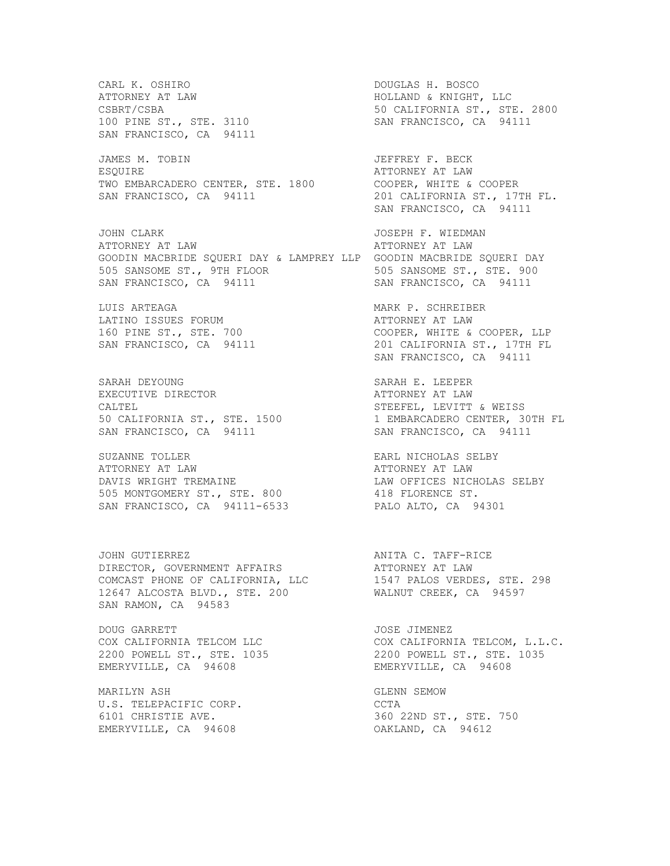CARL K. OSHIRO DOUGLAS H. BOSCO CSBRT/CSBA 50 CALIFORNIA ST., STE. 2800 100 PINE ST., STE. 3110 SAN FRANCISCO, CA 94111 SAN FRANCISCO, CA 94111 JAMES M. TOBIN JEFFREY F. BECK ESOUIRE **ATTORNEY AT LAW** TWO EMBARCADERO CENTER, STE. 1800 COOPER, WHITE & COOPER SAN FRANCISCO, CA 94111 201 CALIFORNIA ST., 17TH FL. JOHN CLARK **JOSEPH F. WIEDMAN** ATTORNEY AT LAW ATTORNEY AT LAW GOODIN MACBRIDE SQUERI DAY & LAMPREY LLP GOODIN MACBRIDE SQUERI DAY<br>505 SANSOME ST., 9TH FLOOR 505 SANSOME ST., STE. 900 505 SANSOME ST., 9TH FLOOR<br>SAN ERANCISCO SA 901111 SAN FRANCISCO, CA 94111 SAN FRANCISCO, CA 94111 LUIS ARTEAGA MARK P. SCHREIBER LATINO ISSUES FORUM **EXECUTE:** ATTORNEY AT LAW 160 PINE ST., STE. 700 COOPER, WHITE & COOPER, LLP SAN FRANCISCO, CA 94111 201 CALIFORNIA ST., 17TH FL SARAH DEYOUNG SARAH E. LEEPER EXECUTIVE DIRECTOR **ATTORNEY AT LAW** CALTEL STEEFEL, LEVITT & WEISS 50 CALIFORNIA ST., STE. 1500 1 EMBARCADERO CENTER, 30TH FL SAN FRANCISCO, CA 94111 SAN FRANCISCO, CA 94111 SUZANNE TOLLER **EARL NICHOLAS SELBY** ATTORNEY AT LAW ATTORNEY AT LAW DAVIS WRIGHT TREMAINE **LAW OFFICES NICHOLAS SELBY** 505 MONTGOMERY ST., STE. 800 418 FLORENCE ST. SAN FRANCISCO, CA 94111-6533 PALO ALTO, CA 94301 JOHN GUTIERREZ **ANITA C. TAFF-RICE** DIRECTOR, GOVERNMENT AFFAIRS ATTORNEY AT LAW COMCAST PHONE OF CALIFORNIA, LLC 1547 PALOS VERDES, STE. 298 12647 ALCOSTA BLVD., STE. 200 WALNUT CREEK, CA 94597 SAN RAMON, CA 94583 DOUG GARRETT **ACCEMBER 1999** JOSE JIMENEZ COX CALIFORNIA TELCOM LLC COX CALIFORNIA TELCOM, L.L.C. 2200 POWELL ST., STE. 1035 2200 POWELL ST., STE. 1035 EMERYVILLE, CA 94608 EMERYVILLE, CA 94608 MARILYN ASH GLENN SEMOW U.S. TELEPACIFIC CORP. CCTA

HOLLAND & KNIGHT, LLC SAN FRANCISCO, CA 94111 SAN FRANCISCO, CA 94111 6101 CHRISTIE AVE. 360 22ND ST., STE. 750 EMERYVILLE, CA 94608 OAKLAND, CA 94612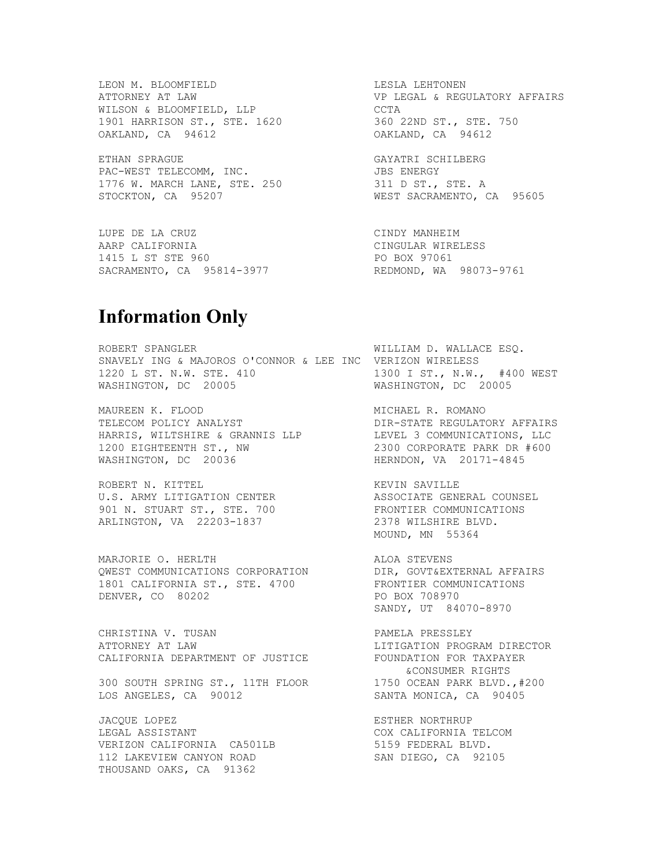WILSON & BLOOMFIELD, LLP CCTA 1901 HARRISON ST., STE. 1620 360 22ND ST., STE. 750 OAKLAND, CA 94612 OAKLAND, CA 94612

ETHAN SPRAGUE GAYATRI SCHILBERG PAC-WEST TELECOMM, INC. THE SERVICE SERVICE OF STREEGY 1776 W. MARCH LANE, STE. 250 311 D ST., STE. A STOCKTON, CA 95207 WEST SACRAMENTO, CA 95605

LUPE DE LA CRUZ CINDY MANHEIM AARP CALIFORNIA CINGULAR WIRELESS 1415 L ST STE 960 PO BOX 97061 SACRAMENTO, CA 95814-3977 REDMOND, WA 98073-9761

LEON M. BLOOMFIELD LESLA LEHTONEN ATTORNEY AT LAW VP LEGAL & REGULATORY AFFAIRS

## **Information Only**

ROBERT SPANGLER WILLIAM D. WALLACE ESQ. SNAVELY ING & MAJOROS O'CONNOR & LEE INC VERIZON WIRELESS<br>1220 L ST. N.W. STE. 410 1300 I ST., N.W., #400 WEST 1220 L ST. N.W. STE. 410 1300 I ST., N.W., #400 WEST WASHINGTON, DC 20005

MAUREEN K. FLOOD SANDER SOMALD MICHAEL R. ROMANO TELECOM POLICY ANALYST DIR-STATE REGULATORY AFFAIRS HARRIS, WILTSHIRE & GRANNIS LLP LEVEL 3 COMMUNICATIONS, LLC 1200 EIGHTEENTH ST., NW 2300 CORPORATE PARK DR #600 WASHINGTON, DC 20036 HERNDON, VA 20171-4845

ROBERT N. KITTEL **EXECUTE IS A SECUTE A SECUTE A** KEVIN SAVILLE U.S. ARMY LITIGATION CENTER **ASSOCIATE GENERAL COUNSEL** 901 N. STUART ST., STE. 700 FRONTIER COMMUNICATIONS ARLINGTON, VA 22203-1837 2378 WILSHIRE BLVD.

MARJORIE O. HERLTH **ALOA STEVENS** QWEST COMMUNICATIONS CORPORATION DIR, GOVT&EXTERNAL AFFAIRS 1801 CALIFORNIA ST., STE. 4700 FRONTIER COMMUNICATIONS DENVER, CO 80202 **PO BOX 708970** 

CHRISTINA V. TUSAN PANELA PRESSLEY ATTORNEY AT LAW LITIGATION PROGRAM DIRECTOR CALIFORNIA DEPARTMENT OF JUSTICE **FOUNDATION** FOR TAXPAYER

300 SOUTH SPRING ST., 11TH FLOOR 1750 OCEAN PARK BLVD.,#200 LOS ANGELES, CA 90012 SANTA MONICA, CA 90405

JACQUE LOPEZ **ESTHER NORTHRUP** LEGAL ASSISTANT COX CALIFORNIA TELCOM VERIZON CALIFORNIA CA501LB 5159 FEDERAL BLVD. 112 LAKEVIEW CANYON ROAD SAN DIEGO, CA 92105 THOUSAND OAKS, CA 91362

MOUND, MN 55364

SANDY, UT 84070-8970

&CONSUMER RIGHTS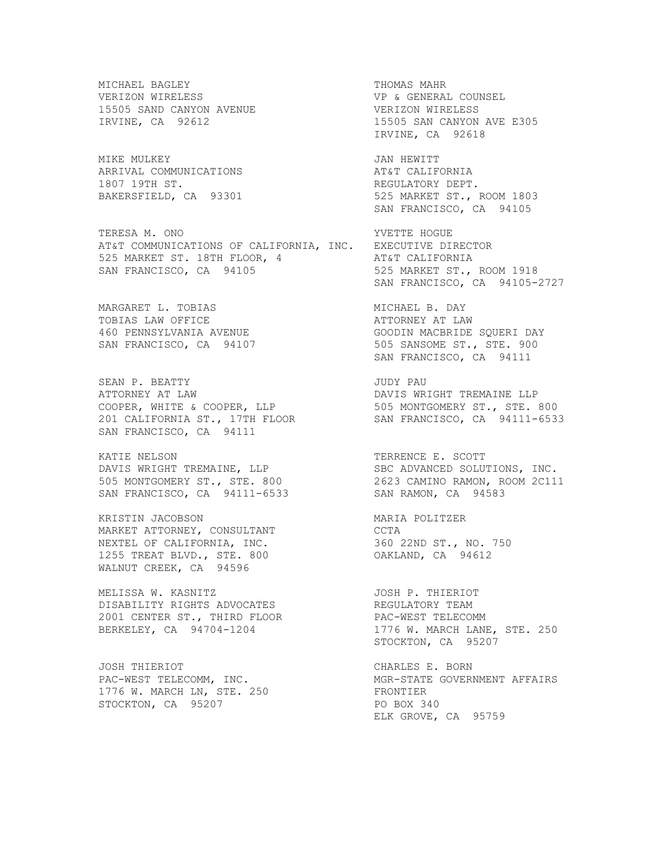MICHAEL BAGLEY **THOMAS MAHR** VERIZON WIRELESS VP & GENERAL COUNSEL 15505 SAND CANYON AVENUE VERIZON WIRELESS<br>IRVINE, CA 92612 15505 SAN CANYON

MIKE MULKEY JAN HEWITT ARRIVAL COMMUNICATIONS AT&T CALIFORNIA<br>1807 19TH ST. AT&T REGULATORY DEPT

TERESA M. ONO YVETTE HOGUE AT&T COMMUNICATIONS OF CALIFORNIA, INC. EXECUTIVE DIRECTOR 1111 CONFORTSTERERS STRINGER 1989.<br>
525 MARKET ST. 18TH FLOOR, 4 AT&T CALIFORNIA<br>
SAN FRANCISCO, CA 94105 525 MARKET ST., ROOM 1918 SAN FRANCISCO, CA 94105

MARGARET L. TOBIAS MICHAEL B. DAY TOBIAS LAW OFFICE **ATTORNEY AT LAW** 

SEAN P. BEATTY **SEAN ALL SEAN P. BEATTY** ATTORNEY AT LAW DAVIS WRIGHT TREMAINE LLP COOPER, WHITE & COOPER, LLP 505 MONTGOMERY ST., STE. 800 201 CALIFORNIA ST., 17TH FLOOR SAN FRANCISCO, CA 94111-6533 SAN FRANCISCO, CA 94111

KATIE NELSON TERRENCE E. SCOTT DAVIS WRIGHT TREMAINE, LLP SBC ADVANCED SOLUTIONS, INC. 505 MONTGOMERY ST., STE. 800 2623 CAMINO RAMON, ROOM 2C111 SAN FRANCISCO, CA 94111-6533 SAN RAMON, CA 94583

KRISTIN JACOBSON MARIA POLITZER MARKET ATTORNEY, CONSULTANT CCTA NEXTEL OF CALIFORNIA, INC. 360 22ND ST., NO. 750 1255 TREAT BLVD., STE. 800 OAKLAND, CA 94612 WALNUT CREEK, CA 94596

MELISSA W. KASNITZ **South Accord Contains Container** JOSH P. THIERIOT DISABILITY RIGHTS ADVOCATES REGULATORY TEAM 2001 CENTER ST., THIRD FLOOR PAC-WEST TELECOMM

JOSH THIERIOT **CHARLES E. BORN** 1776 W. MARCH LN, STE. 250 FRONTIER STOCKTON, CA 95207 PO BOX 340

15505 SAN CANYON AVE E305 IRVINE, CA 92618 REGULATORY DEPT. BAKERSFIELD, CA 93301 525 MARKET ST., ROOM 1803 SAN FRANCISCO, CA 94105 SAN FRANCISCO, CA 94105-2727 460 PENNSYLVANIA AVENUE GOODIN MACBRIDE SQUERI DAY SAN FRANCISCO, CA 94107 505 SANSOME ST., STE. 900 SAN FRANCISCO, CA 94111 BERKELEY, CA 94704-1204 1776 W. MARCH LANE, STE. 250 STOCKTON, CA 95207 PAC-WEST TELECOMM, INC. THE MGR-STATE GOVERNMENT AFFAIRS ELK GROVE, CA 95759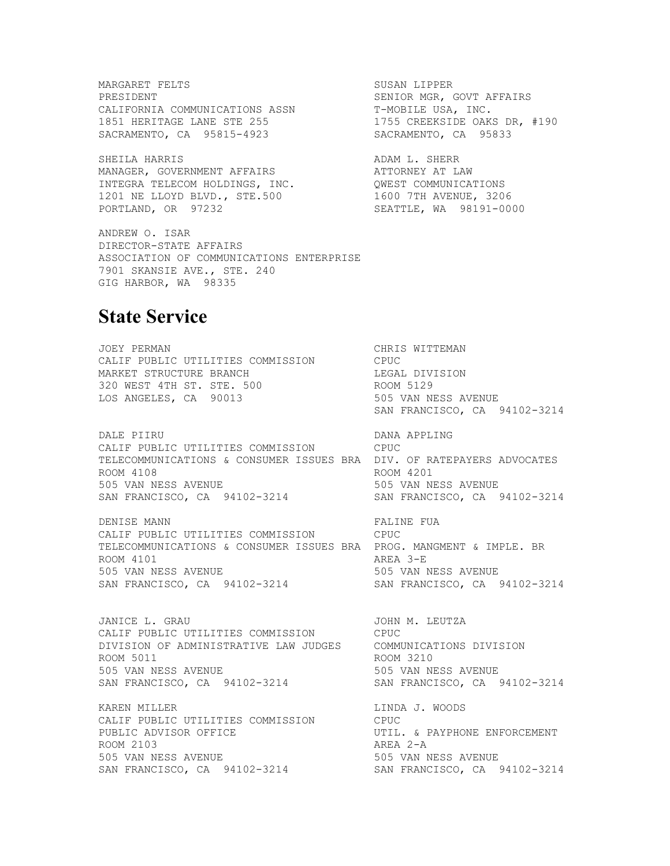MARGARET FELTS SUSAN LIPPER PRESIDENT SENIOR MGR, GOVT AFFAIRS CALIFORNIA COMMUNICATIONS ASSN T-MOBILE USA, INC.<br>1851 HERITAGE LANE STE 255 1755 CREEKSIDE OAKS DR, #190 1851 HERITAGE LANE STE 255 SACRAMENTO, CA 95815-4923 SACRAMENTO, CA 95833

SHEILA HARRIS **ADAM L. SHERR** MANAGER, GOVERNMENT AFFAIRS **ATTORNEY AT LAW** INTEGRA TELECOM HOLDINGS, INC. QWEST COMMUNICATIONS 1201 NE LLOYD BLVD., STE.500 1600 7TH AVENUE, 3206 PORTLAND, OR 97232 SEATTLE, WA 98191-0000

ANDREW O. ISAR DIRECTOR-STATE AFFAIRS ASSOCIATION OF COMMUNICATIONS ENTERPRISE 7901 SKANSIE AVE., STE. 240 GIG HARBOR, WA 98335

**State Service** 

JOEY PERMAN CHRIS WITTEMAN CALIF PUBLIC UTILITIES COMMISSION CPUC MARKET STRUCTURE BRANCH<br>320 WEST 4TH ST. STE. 500 ROOM 5129 320 WEST 4TH ST. STE. 500 ROOM 5129 LOS ANGELES, CA 90013 SAN FRANCISCO, CA 94102-3214 DALE PIIRU DANA APPLING CALIF PUBLIC UTILITIES COMMISSION CPUC TELECOMMUNICATIONS & CONSUMER ISSUES BRA DIV. OF RATEPAYERS ADVOCATES ROOM 4108 ROOM 4201 505 VAN NESS AVENUE 505 VAN NESS AVENUE SAN FRANCISCO, CA 94102-3214 SAN FRANCISCO, CA 94102-3214 DENISE MANN **FALINE** FUA CALIF PUBLIC UTILITIES COMMISSION CPUC TELECOMMUNICATIONS & CONSUMER ISSUES BRA PROG. MANGMENT & IMPLE. BR ROOM 4101 505 VAN NESS AVENUE 505 VAN NESS AVENUE SAN FRANCISCO, CA 94102-3214 JANICE L. GRAU **JOHN M. LEUTZA** CALIF PUBLIC UTILITIES COMMISSION CPUC DIVISION OF ADMINISTRATIVE LAW JUDGES COMMUNICATIONS DIVISION ROOM 5011 ROOM 3210 505 VAN NESS AVENUE 505 VAN NESS AVENUE SAN FRANCISCO, CA 94102-3214 SAN FRANCISCO, CA 94102-3214 KAREN MILLER LINDA J. WOODS CALIF PUBLIC UTILITIES COMMISSION CPUC PUBLIC ADVISOR OFFICE **WE CONSTRUCT THE STATE OF STATE OF A PAYPHONE ENFORCEMENT** ROOM 2103 AREA 2-A 505 VAN NESS AVENUE 505 VAN NESS AVENUE SAN FRANCISCO, CA 94102-3214 SAN FRANCISCO, CA 94102-3214